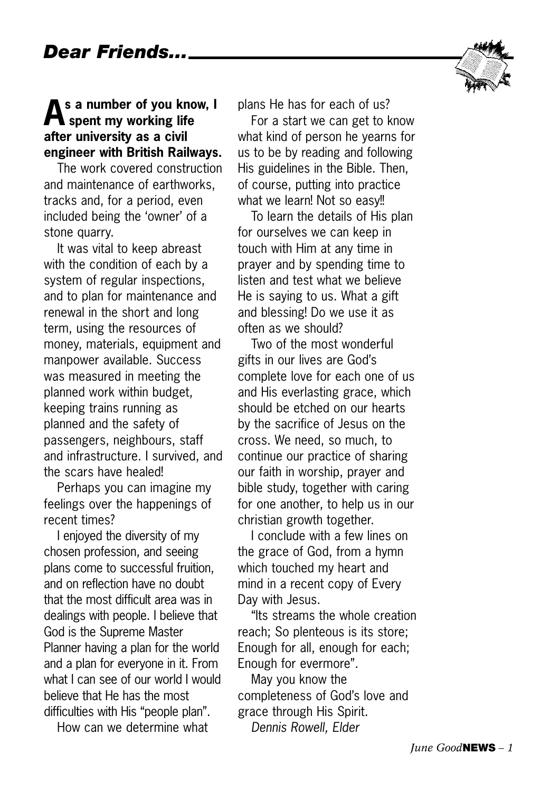

#### **As a number of you know, I spent my working life after university as a civil engineer with British Railways.**

The work covered construction and maintenance of earthworks, tracks and, for a period, even included being the 'owner' of a stone quarry.

It was vital to keep abreast with the condition of each by a system of regular inspections, and to plan for maintenance and renewal in the short and long term, using the resources of money, materials, equipment and manpower available. Success was measured in meeting the planned work within budget, keeping trains running as planned and the safety of passengers, neighbours, staff and infrastructure. I survived, and the scars have healed!

Perhaps you can imagine my feelings over the happenings of recent times?

I enjoyed the diversity of my chosen profession, and seeing plans come to successful fruition, and on reflection have no doubt that the most difficult area was in dealings with people. I believe that God is the Supreme Master Planner having a plan for the world and a plan for everyone in it. From what I can see of our world I would believe that He has the most difficulties with His "people plan".

How can we determine what

plans He has for each of us?

For a start we can get to know what kind of person he yearns for us to be by reading and following His guidelines in the Bible. Then, of course, putting into practice what we learn! Not so easy!!

To learn the details of His plan for ourselves we can keep in touch with Him at any time in prayer and by spending time to listen and test what we believe He is saying to us. What a gift and blessing! Do we use it as often as we should?

Two of the most wonderful gifts in our lives are God's complete love for each one of us and His everlasting grace, which should be etched on our hearts by the sacrifice of Jesus on the cross. We need, so much, to continue our practice of sharing our faith in worship, prayer and bible study, together with caring for one another, to help us in our christian growth together.

I conclude with a few lines on the grace of God, from a hymn which touched my heart and mind in a recent copy of Every Day with Jesus.

"Its streams the whole creation reach; So plenteous is its store; Enough for all, enough for each; Enough for evermore".

May you know the completeness of God's love and grace through His Spirit. *Dennis Rowell, Elder*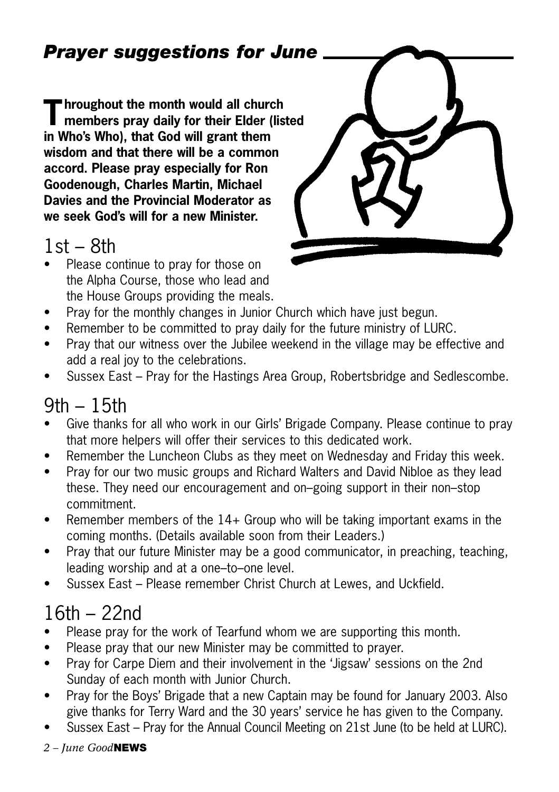#### *Prayer suggestions for June*

**Throughout the month would all church members pray daily for their Elder (listed in Who's Who), that God will grant them wisdom and that there will be a common accord. Please pray especially for Ron Goodenough, Charles Martin, Michael Davies and the Provincial Moderator as we seek God's will for a new Minister.** 

#### $1st - 8th$

• Please continue to pray for those on the Alpha Course, those who lead and the House Groups providing the meals.



- Pray for the monthly changes in Junior Church which have just begun.
- Remember to be committed to pray daily for the future ministry of LURC.
- Pray that our witness over the Jubilee weekend in the village may be effective and add a real joy to the celebrations.
- Sussex East Pray for the Hastings Area Group, Robertsbridge and Sedlescombe.

#### 9th – 15th

- Give thanks for all who work in our Girls' Brigade Company. Please continue to pray that more helpers will offer their services to this dedicated work.
- Remember the Luncheon Clubs as they meet on Wednesday and Friday this week.
- Pray for our two music groups and Richard Walters and David Nibloe as they lead these. They need our encouragement and on–going support in their non–stop commitment.
- Remember members of the 14+ Group who will be taking important exams in the coming months. (Details available soon from their Leaders.)
- Pray that our future Minister may be a good communicator, in preaching, teaching, leading worship and at a one–to–one level.
- Sussex East Please remember Christ Church at Lewes, and Uckfield.

#### 16th – 22nd

- Please pray for the work of Tearfund whom we are supporting this month.
- Please pray that our new Minister may be committed to prayer.
- Pray for Carpe Diem and their involvement in the 'Jigsaw' sessions on the 2nd Sunday of each month with Junior Church.
- Pray for the Boys' Brigade that a new Captain may be found for January 2003. Also give thanks for Terry Ward and the 30 years' service he has given to the Company.
- Sussex East Pray for the Annual Council Meeting on 21st June (to be held at LURC).
- *2 June Good***NEWS**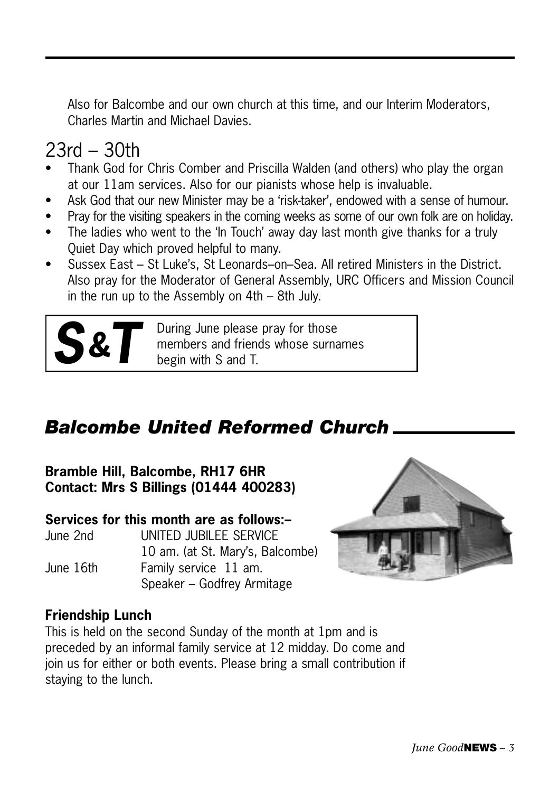Also for Balcombe and our own church at this time, and our Interim Moderators, Charles Martin and Michael Davies.

#### 23rd – 30th

- Thank God for Chris Comber and Priscilla Walden (and others) who play the organ at our 11am services. Also for our pianists whose help is invaluable.
- Ask God that our new Minister may be a 'risk-taker', endowed with a sense of humour.
- Pray for the visiting speakers in the coming weeks as some of our own folk are on holiday.
- The ladies who went to the 'In Touch' away day last month give thanks for a truly Quiet Day which proved helpful to many.
- Sussex East St Luke's, St Leonards–on–Sea. All retired Ministers in the District. Also pray for the Moderator of General Assembly, URC Officers and Mission Council in the run up to the Assembly on 4th – 8th July.



**S&T** During June please pray for those members and friends whose surna<br>begin with S and T. members and friends whose surnames begin with S and T.

#### *Balcombe United Reformed Church*

**Bramble Hill, Balcombe, RH17 6HR Contact: Mrs S Billings (01444 400283)**

#### **Services for this month are as follows:–**

| June 2nd  | UNITED JUBILEE SERVICE           |
|-----------|----------------------------------|
|           | 10 am. (at St. Mary's, Balcombe) |
| June 16th | Family service 11 am.            |
|           | Speaker – Godfrey Armitage       |



#### **Friendship Lunch**

This is held on the second Sunday of the month at 1pm and is preceded by an informal family service at 12 midday. Do come and join us for either or both events. Please bring a small contribution if staying to the lunch.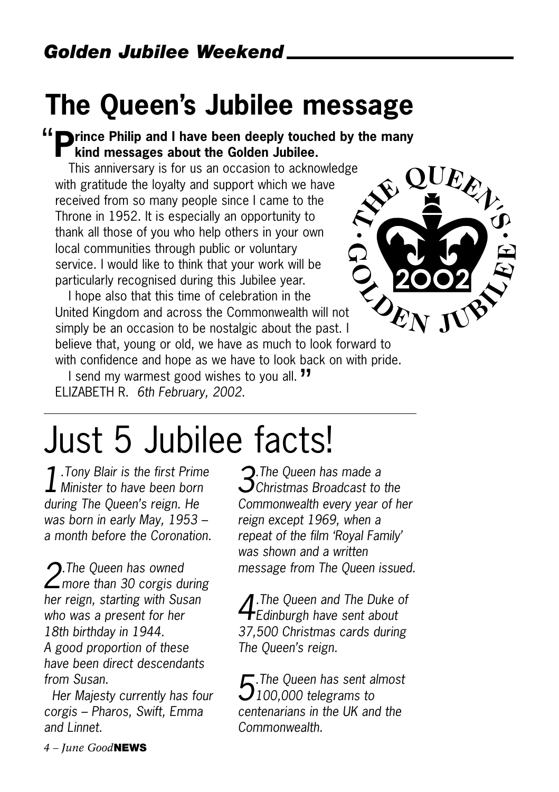### **The Queen's Jubilee message**

#### <sup>"</sup> **P**rince Philip and I have been deeply touched by the many<br>kind messages about the Golden Jubilee. **kind messages about the Golden Jubilee.**

This anniversary is for us an occasion to acknowledge with gratitude the loyalty and support which we have received from so many people since I came to the Throne in 1952. It is especially an opportunity to thank all those of you who help others in your own local communities through public or voluntary service. I would like to think that your work will be particularly recognised during this Jubilee year.



I hope also that this time of celebration in the United Kingdom and across the Commonwealth will not simply be an occasion to be nostalgic about the past. I believe that, young or old, we have as much to look forward to with confidence and hope as we have to look back on with pride.

I send my warmest good wishes to you all. "<br>I send my warmest good wishes to you all. "" ELIZABETH R. *6th February, 2002.*

## Just 5 Jubilee facts!

*1.Tony Blair is the first Prime Minister to have been born during The Queen's reign. He was born in early May, 1953 – a month before the Coronation.*

*2.The Queen has owned more than 30 corgis during her reign, starting with Susan who was a present for her 18th birthday in 1944. A good proportion of these have been direct descendants from Susan.*

*Her Majesty currently has four corgis – Pharos, Swift, Emma and Linnet.*

*3.The Queen has made a Christmas Broadcast to the Commonwealth every year of her reign except 1969, when a repeat of the film 'Royal Family' was shown and a written message from The Queen issued.* 

*4.The Queen and The Duke of Edinburgh have sent about 37,500 Christmas cards during The Queen's reign.*

*5.The Queen has sent almost 100,000 telegrams to centenarians in the UK and the Commonwealth.*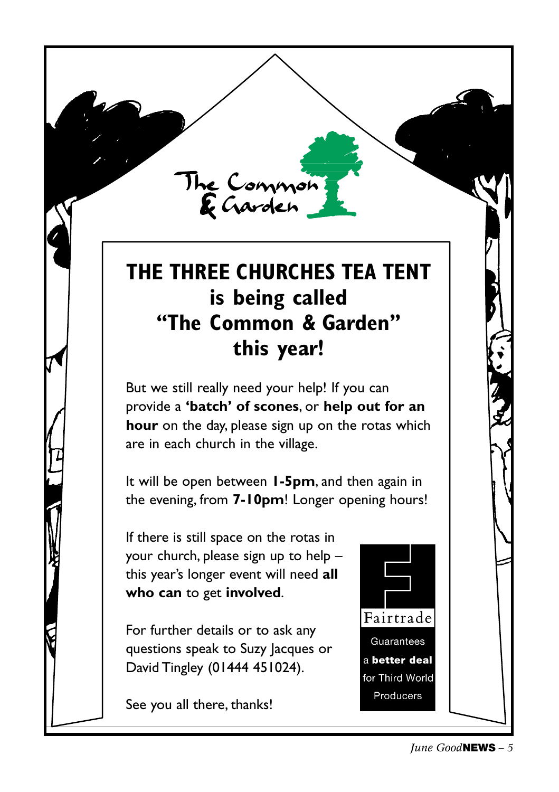#### **THE THREE CHURCHES TEA TENT is being called "The Common & Garden" this year!**

The Common<br>E Garden

But we still really need your help! If you can provide a **'batch' of scones**, or **help out for an hour** on the day, please sign up on the rotas which are in each church in the village.

It will be open between **1-5pm**, and then again in the evening, from **7-10pm**! Longer opening hours!

If there is still space on the rotas in your church, please sign up to help – this year's longer event will need **all who can** to get **involved**.

For further details or to ask any questions speak to Suzy Jacques or David Tingley (01444 451024).

See you all there, thanks!

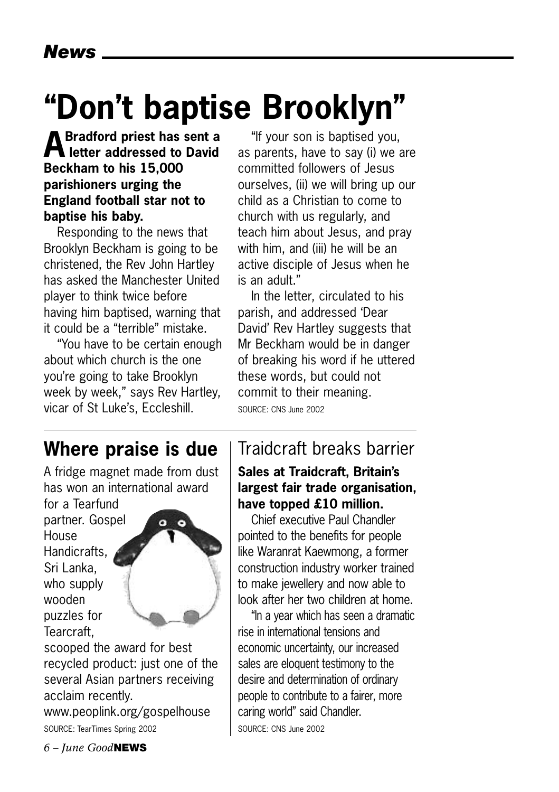## **"Don't baptise Brooklyn"**

#### **ABradford priest has sent a letter addressed to David Beckham to his 15,000 parishioners urging the England football star not to baptise his baby.**

Responding to the news that Brooklyn Beckham is going to be christened, the Rev John Hartley has asked the Manchester United player to think twice before having him baptised, warning that it could be a "terrible" mistake.

"You have to be certain enough about which church is the one you're going to take Brooklyn week by week," says Rev Hartley, vicar of St Luke's, Eccleshill.

"If your son is baptised you, as parents, have to say (i) we are committed followers of Jesus ourselves, (ii) we will bring up our child as a Christian to come to church with us regularly, and teach him about Jesus, and pray with him, and (iii) he will be an active disciple of Jesus when he is an adult."

In the letter, circulated to his parish, and addressed 'Dear David' Rev Hartley suggests that Mr Beckham would be in danger of breaking his word if he uttered these words, but could not commit to their meaning. SOURCE: CNS June 2002

#### **Where praise is due**

A fridge magnet made from dust has won an international award

for a Tearfund partner. Gospel **House** Handicrafts, Sri Lanka, who supply wooden puzzles for Tearcraft,



scooped the award for best recycled product: just one of the several Asian partners receiving acclaim recently.

www.peoplink.org/gospelhouse SOURCE: TearTimes Spring 2002

#### Traidcraft breaks barrier **Sales at Traidcraft, Britain's**

#### **largest fair trade organisation, have topped £10 million.**

Chief executive Paul Chandler pointed to the benefits for people like Waranrat Kaewmong, a former construction industry worker trained to make jewellery and now able to look after her two children at home.

"In a year which has seen a dramatic rise in international tensions and economic uncertainty, our increased sales are eloquent testimony to the desire and determination of ordinary people to contribute to a fairer, more caring world" said Chandler. SOURCE: CNS June 2002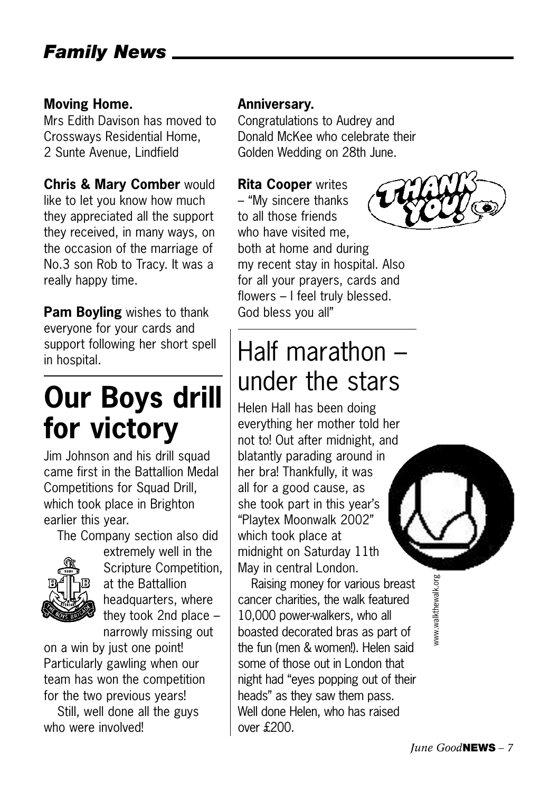#### **Moving Home.**

Mrs Edith Davison has moved to Crossways Residential Home, 2 Sunte Avenue, Lindfield

#### **Chris & Mary Comber** would

like to let you know how much they appreciated all the support they received, in many ways, on the occasion of the marriage of No.3 son Rob to Tracy. It was a really happy time.

**Pam Boyling** wishes to thank everyone for your cards and support following her short spell in hospital.

## **Our Boys drill for victory**

Jim Johnson and his drill squad came first in the Battallion Medal Competitions for Squad Drill, which took place in Brighton earlier this year.

The Company section also did



extremely well in the Scripture Competition, at the Battallion headquarters, where they took 2nd place – narrowly missing out

on a win by just one point! Particularly gawling when our team has won the competition for the two previous years!

Still, well done all the guys who were involved!

#### **Anniversary.**

Congratulations to Audrey and Donald McKee who celebrate their Golden Wedding on 28th June.

#### **Rita Cooper** writes

– "My sincere thanks to all those friends who have visited me, both at home and during my recent stay in hospital. Also for all your prayers, cards and flowers – I feel truly blessed. God bless you all"

### Half marathon – under the stars

Helen Hall has been doing everything her mother told her not to! Out after midnight, and blatantly parading around in her bra! Thankfully, it was all for a good cause, as she took part in this year's "Playtex Moonwalk 2002" which took place at midnight on Saturday 11th May in central London.

Raising money for various breast cancer charities, the walk featured 10,000 power-walkers, who all boasted decorated bras as part of the fun (men & women!). Helen said some of those out in London that night had "eyes popping out of their heads" as they saw them pass. Well done Helen, who has raised over £200.





www.walkthewalk.org www.walkthewalk.org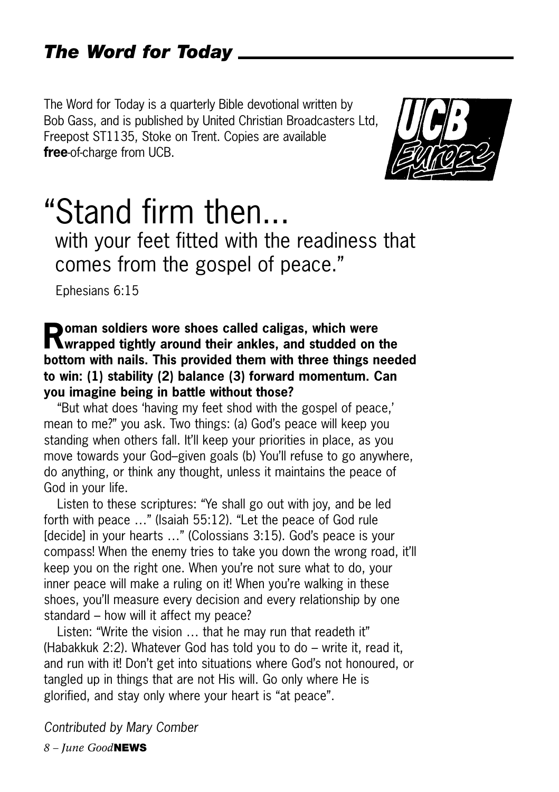#### *The Word for Today*

The Word for Today is a quarterly Bible devotional written by Bob Gass, and is published by United Christian Broadcasters Ltd, Freepost ST1135, Stoke on Trent. Copies are available **free**-of-charge from UCB.



### "Stand firm then...

with your feet fitted with the readiness that comes from the gospel of peace."

Ephesians 6:15

#### **Roman soldiers wore shoes called caligas, which were wrapped tightly around their ankles, and studded on the bottom with nails. This provided them with three things needed to win: (1) stability (2) balance (3) forward momentum. Can you imagine being in battle without those?**

"But what does 'having my feet shod with the gospel of peace,' mean to me?" you ask. Two things: (a) God's peace will keep you standing when others fall. It'll keep your priorities in place, as you move towards your God–given goals (b) You'll refuse to go anywhere, do anything, or think any thought, unless it maintains the peace of God in your life.

Listen to these scriptures: "Ye shall go out with joy, and be led forth with peace …" (Isaiah 55:12). "Let the peace of God rule [decide] in your hearts ..." (Colossians 3:15). God's peace is your compass! When the enemy tries to take you down the wrong road, it'll keep you on the right one. When you're not sure what to do, your inner peace will make a ruling on it! When you're walking in these shoes, you'll measure every decision and every relationship by one standard – how will it affect my peace?

Listen: "Write the vision … that he may run that readeth it" (Habakkuk 2:2). Whatever God has told you to do – write it, read it, and run with it! Don't get into situations where God's not honoured, or tangled up in things that are not His will. Go only where He is glorified, and stay only where your heart is "at peace".

*Contributed by Mary Comber*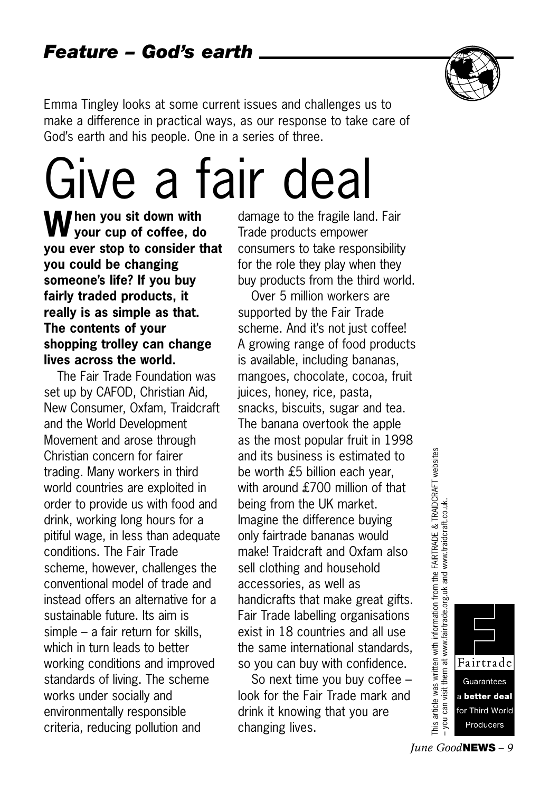

Emma Tingley looks at some current issues and challenges us to make a difference in practical ways, as our response to take care of God's earth and his people. One in a series of three.

## Give a fair deal

**When you sit down with your cup of coffee, do you ever stop to consider that you could be changing someone's life? If you buy fairly traded products, it really is as simple as that. The contents of your shopping trolley can change lives across the world.**

The Fair Trade Foundation was set up by CAFOD, Christian Aid, New Consumer, Oxfam, Traidcraft and the World Development Movement and arose through Christian concern for fairer trading. Many workers in third world countries are exploited in order to provide us with food and drink, working long hours for a pitiful wage, in less than adequate conditions. The Fair Trade scheme, however, challenges the conventional model of trade and instead offers an alternative for a sustainable future. Its aim is simple – a fair return for skills, which in turn leads to better working conditions and improved standards of living. The scheme works under socially and environmentally responsible criteria, reducing pollution and

damage to the fragile land. Fair Trade products empower consumers to take responsibility for the role they play when they buy products from the third world.

Over 5 million workers are supported by the Fair Trade scheme. And it's not just coffee! A growing range of food products is available, including bananas, mangoes, chocolate, cocoa, fruit juices, honey, rice, pasta, snacks, biscuits, sugar and tea. The banana overtook the apple as the most popular fruit in 1998 and its business is estimated to be worth £5 billion each year, with around £700 million of that being from the UK market. Imagine the difference buying only fairtrade bananas would make! Traidcraft and Oxfam also sell clothing and household accessories, as well as handicrafts that make great gifts. Fair Trade labelling organisations exist in 18 countries and all use the same international standards, so you can buy with confidence.

So next time you buy coffee – look for the Fair Trade mark and drink it knowing that you are changing lives.

article was written with information from the FAIRTRADE & TRAIDCRAFT websites<br>u can visit them at www.fairtrade.org.uk and www.traidcraft.co.uk. This article was written with information from the FAIRTRADE & TRAIDCRAFT websites – you can visit them at www.fairtrade.org.uk and www.traidcraft.co.uk. you This a

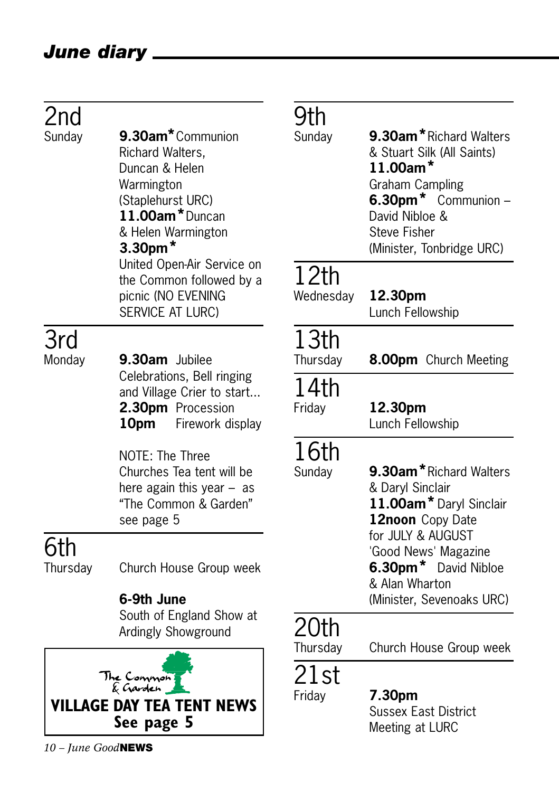#### *June diary*

| 2nd           |                                                                                                                                                                                                                                              | Jtl                            |
|---------------|----------------------------------------------------------------------------------------------------------------------------------------------------------------------------------------------------------------------------------------------|--------------------------------|
| Sunday        | 9.30am <sup>*</sup> Communion<br>Richard Walters,<br>Duncan & Helen<br>Warmington<br>(Staplehurst URC)<br>11.00am*Duncan<br>& Helen Warmington<br>$3.30pm$ *<br>United Open-Air Service on<br>the Common followed by a<br>picnic (NO EVENING | Sunc<br>12<br>Wed              |
|               | SERVICE AT LURC)                                                                                                                                                                                                                             |                                |
| 3rd<br>Monday | 9.30am Jubilee<br>Celebrations, Bell ringing<br>and Village Crier to start<br>2.30pm Procession<br>10pm<br>Firework display                                                                                                                  | 13<br>Thur<br>4<br>Frida<br>16 |
|               | NOTE: The Three<br>Churches Tea tent will be<br>here again this year $-$ as<br>"The Common & Garden"<br>see page 5                                                                                                                           | Sunc                           |
| 6th           |                                                                                                                                                                                                                                              |                                |
| Thursday      | Church House Group week                                                                                                                                                                                                                      |                                |
|               | 6-9th June<br>South of England Show at<br>Ardingly Showground                                                                                                                                                                                |                                |
|               | The Conmon<br>& Garden                                                                                                                                                                                                                       | Thur                           |

## **h**<br>dav

- 9.30am<sup>\*</sup>Richard Walters & Stuart Silk (All Saints) **11.00am\*** Graham Campling **6.30pm\*** Communion – David Nibloe & Steve Fisher (Minister, Tonbridge URC) **2th**<br>Inesday 12.30pm Lunch Fellowship 3th<br><sub>sday</sub> 8.00pm Church Meeting 14th ay **12.30pm** Lunch Fellowship 5th day **9.30am**\*Richard Walters & Daryl Sinclair **11.00am\***Daryl Sinclair **12noon** Copy Date for JULY & AUGUST
	- 'Good News' Magazine **6.30pm\*** David Nibloe & Alan Wharton (Minister, Sevenoaks URC)

#### )th

sday Church House Group week

### st

### Friday **7.30pm**

Sussex East District Meeting at LURC

**VILLAGE DAY TEA TENT NEWS See page 5**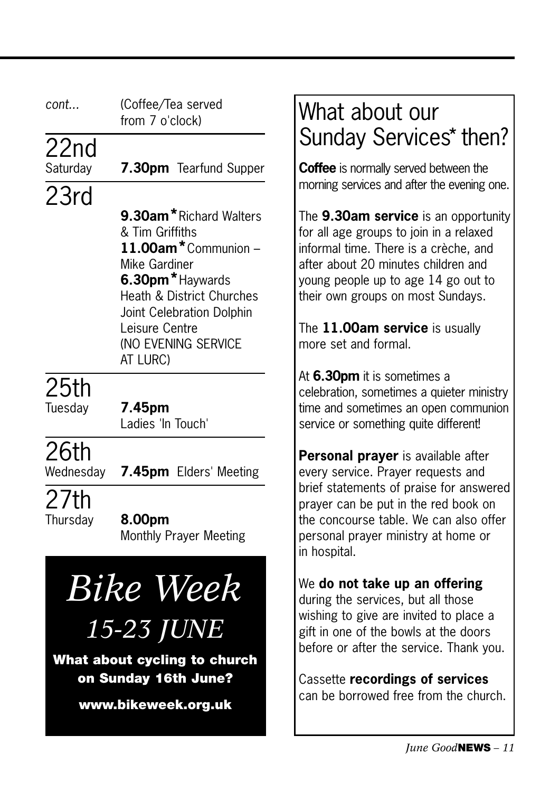| cont              | (Coffee/Tea served<br>from 7 o'clock)                                                                                                                                                                               | Wha<br><b>Suno</b>                                                                                  |
|-------------------|---------------------------------------------------------------------------------------------------------------------------------------------------------------------------------------------------------------------|-----------------------------------------------------------------------------------------------------|
| 22nd<br>Saturday  | 7.30pm Tearfund Supper                                                                                                                                                                                              | <b>Coffee</b>                                                                                       |
| 23rd              | 9.30am*Richard Walters<br>& Tim Griffiths<br>11.00am*Communion -<br>Mike Gardiner<br>6.30pm*Haywards<br>Heath & District Churches<br>Joint Celebration Dolphin<br>Leisure Centre<br>(NO EVENING SERVICE<br>AT LURC) | morning<br>The $9.3$<br>for all a<br>informa<br>after ab<br>young p<br>their ow<br>The 11<br>more s |
| 25th<br>Tuesday   | 7.45pm<br>Ladies 'In Touch'                                                                                                                                                                                         | At 6.30<br>celebrat<br>time and<br>service                                                          |
| 26th<br>Wednesday | <b>7.45pm</b> Elders' Meeting                                                                                                                                                                                       | <b>Persor</b><br>every s                                                                            |

27th

Thursday **8.00pm** Monthly Prayer Meeting

*Bike Week*

*15-23 JUNE*

**What about cycling to church on Sunday 16th June?**

**www.bikeweek.org.uk**

#### t about our day Services\* then?

is normally served between the services and after the evening one.

**80am service** is an opportunity ge groups to join in a relaxed I time. There is a crèche, and out 20 minutes children and eople up to age 14 go out to vn groups on most Sundays.

**100am service** is usually more set and formal.

**Dom** it is sometimes a tion, sometimes a quieter ministry d sometimes an open communion or something quite different!

**nal prayer** is available after ervice. Prayer requests and brief statements of praise for answered prayer can be put in the red book on the concourse table. We can also offer personal prayer ministry at home or in hospital.

We **do not take up an offering** during the services, but all those wishing to give are invited to place a gift in one of the bowls at the doors before or after the service. Thank you.

Cassette **recordings of services** can be borrowed free from the church.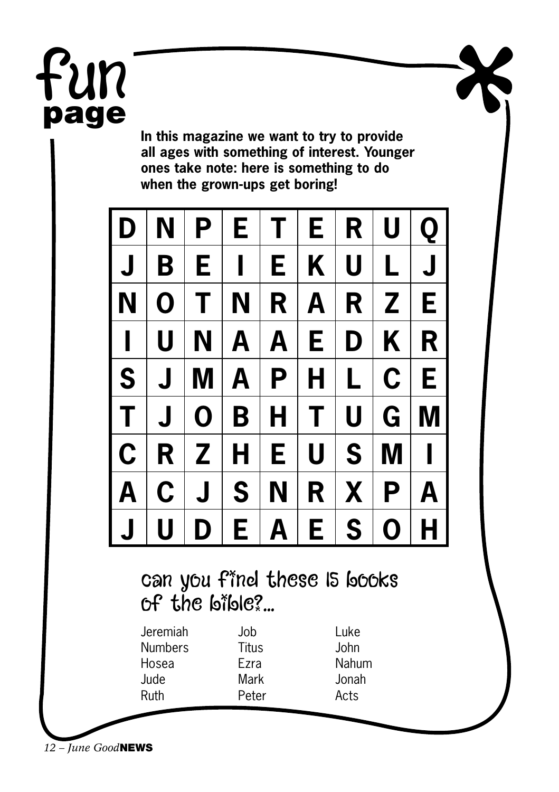## Fun **page**

**In this magazine we want to try to provide all ages with something of interest. Younger ones take note: here is something to do when the grown-ups get boring!**

| l D              | N                       | P                       | E.           | $T \perp$      | E.                      | R           | U            | Q            |
|------------------|-------------------------|-------------------------|--------------|----------------|-------------------------|-------------|--------------|--------------|
| $\mathsf{L}$     | B                       | E   I                   |              | E.             | $K \mid$                | $\mathbf U$ | L            | $J \mid$     |
| $\vert N \vert$  | $\mathbf 0$             | T                       | $N \mid$     | R              | A                       | $R \mid$    | $\mathbf{Z}$ | E            |
| $\vert \, \vert$ | U                       | N                       | $\mathbf{A}$ | $\overline{A}$ | E.                      | D           | K            | R            |
| $ S $ J          |                         | M                       |              | $A$   $P$      | $\overline{\mathsf{H}}$ | L           | $\mathbf C$  | E            |
| l T              | $\overline{\mathsf{J}}$ | $\mathbf 0$             | $B$ $H$      |                | T                       | $\mathbf U$ | G            | M            |
| $ {\rm c} $      |                         | R Z                     | H            | E.             | U                       | S           | $M \mid I$   |              |
| $\overline{A}$   | $\mathbf C$             | $\overline{\mathsf{J}}$ | S            | N              | R                       |             | X   P        | $\mathsf{A}$ |
| $\mathsf J$      | U                       | D                       | E            | A              | E                       | S           | $\mathbf 0$  | H            |

#### can you find these IS books  $of$  the bible?...

| Jeremiah | Job   |
|----------|-------|
| Numbers  | Titus |
| Hosea    | Ezra  |
| Jude     | Mark  |
| Ruth     | Peter |
|          |       |

Luke John Nahum Jonah Acts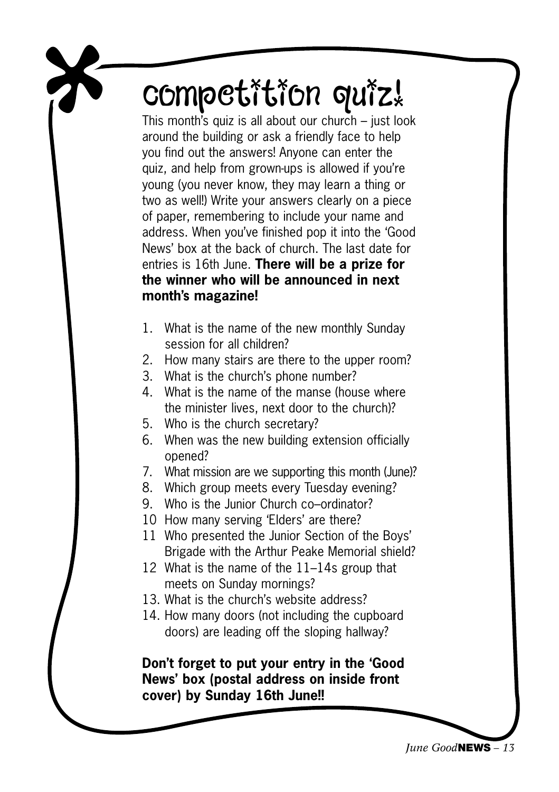## competition quiz!

This month's quiz is all about our church – just look around the building or ask a friendly face to help you find out the answers! Anyone can enter the quiz, and help from grown-ups is allowed if you're young (you never know, they may learn a thing or two as well!) Write your answers clearly on a piece of paper, remembering to include your name and address. When you've finished pop it into the 'Good News' box at the back of church. The last date for entries is 16th June. **There will be a prize for the winner who will be announced in next month's magazine!**

- 1. What is the name of the new monthly Sunday session for all children?
- 2. How many stairs are there to the upper room?
- 3. What is the church's phone number?
- 4. What is the name of the manse (house where the minister lives, next door to the church)?
- 5. Who is the church secretary?
- 6. When was the new building extension officially opened?
- 7. What mission are we supporting this month (June)?
- 8. Which group meets every Tuesday evening?
- 9. Who is the Junior Church co–ordinator?
- 10 How many serving 'Elders' are there?
- 11 Who presented the Junior Section of the Boys' Brigade with the Arthur Peake Memorial shield?
- 12 What is the name of the 11–14s group that meets on Sunday mornings?
- 13. What is the church's website address?
- 14. How many doors (not including the cupboard doors) are leading off the sloping hallway?

**Don't forget to put your entry in the 'Good News' box (postal address on inside front cover) by Sunday 16th June!!**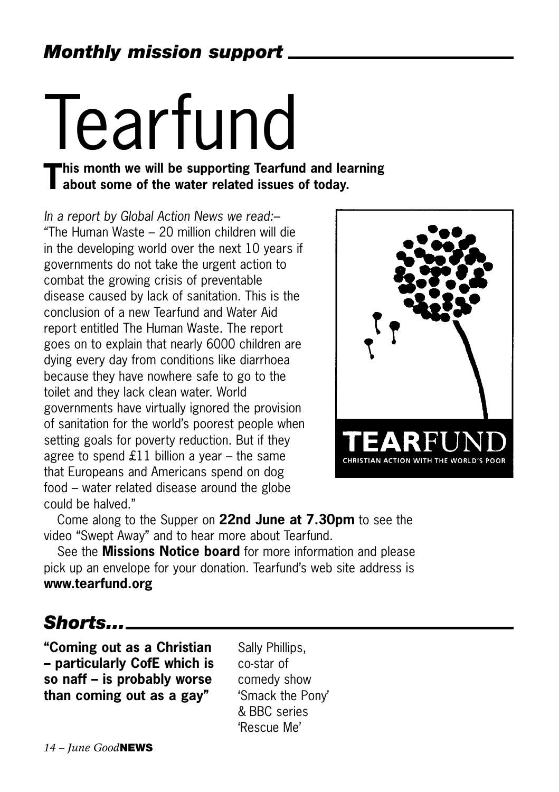# Tearfund<br>This month we will be supporting Tearfund and learning

## **This month we will be supporting Tearfund and learning about some of the water related issues of today.**

*In a report by Global Action News we read:–* "The Human Waste – 20 million children will die in the developing world over the next 10 years if governments do not take the urgent action to combat the growing crisis of preventable disease caused by lack of sanitation. This is the conclusion of a new Tearfund and Water Aid report entitled The Human Waste. The report goes on to explain that nearly 6000 children are dying every day from conditions like diarrhoea because they have nowhere safe to go to the toilet and they lack clean water. World governments have virtually ignored the provision of sanitation for the world's poorest people when setting goals for poverty reduction. But if they agree to spend £11 billion a year  $-$  the same that Europeans and Americans spend on dog food – water related disease around the globe could be halved."



Come along to the Supper on **22nd June at 7.30pm** to see the video "Swept Away" and to hear more about Tearfund.

See the **Missions Notice board** for more information and please pick up an envelope for your donation. Tearfund's web site address is **www.tearfund.org** 

*Shorts...*

**"Coming out as a Christian – particularly CofE which is so naff – is probably worse than coming out as a gay"**

Sally Phillips, co-star of comedy show 'Smack the Pony' & BBC series 'Rescue Me'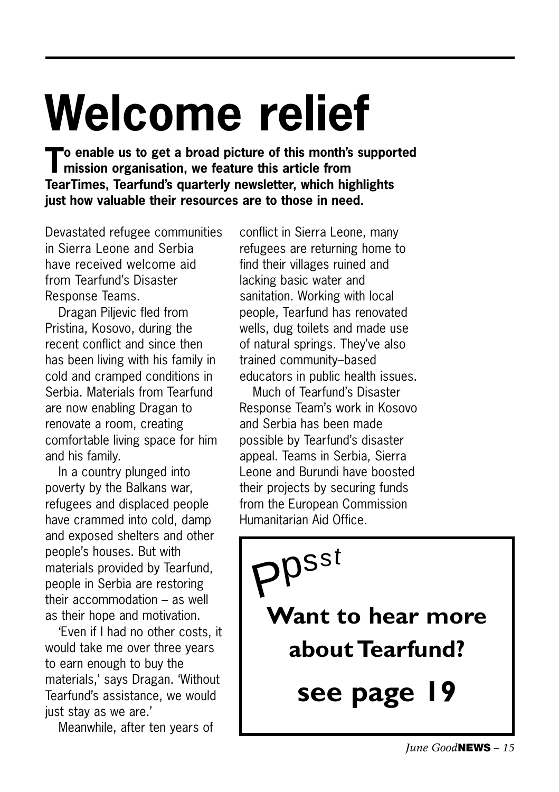## **Welcome relief**

**To enable us to get a broad picture of this month's supported mission organisation, we feature this article from TearTimes, Tearfund's quarterly newsletter, which highlights just how valuable their resources are to those in need.**

Devastated refugee communities in Sierra Leone and Serbia have received welcome aid from Tearfund's Disaster Response Teams.

Dragan Piljevic fled from Pristina, Kosovo, during the recent conflict and since then has been living with his family in cold and cramped conditions in Serbia. Materials from Tearfund are now enabling Dragan to renovate a room, creating comfortable living space for him and his family.

In a country plunged into poverty by the Balkans war, refugees and displaced people have crammed into cold, damp and exposed shelters and other people's houses. But with materials provided by Tearfund, people in Serbia are restoring their accommodation – as well as their hope and motivation.

'Even if I had no other costs, it would take me over three years to earn enough to buy the materials,' says Dragan. 'Without Tearfund's assistance, we would just stay as we are.'

Meanwhile, after ten years of

conflict in Sierra Leone, many refugees are returning home to find their villages ruined and lacking basic water and sanitation. Working with local people, Tearfund has renovated wells, dug toilets and made use of natural springs. They've also trained community–based educators in public health issues.

Much of Tearfund's Disaster Response Team's work in Kosovo and Serbia has been made possible by Tearfund's disaster appeal. Teams in Serbia, Sierra Leone and Burundi have boosted their projects by securing funds from the European Commission Humanitarian Aid Office.

**Want to hear more about Tearfund? see page 19**  $\mathsf{P}^{\mathsf{psst}}$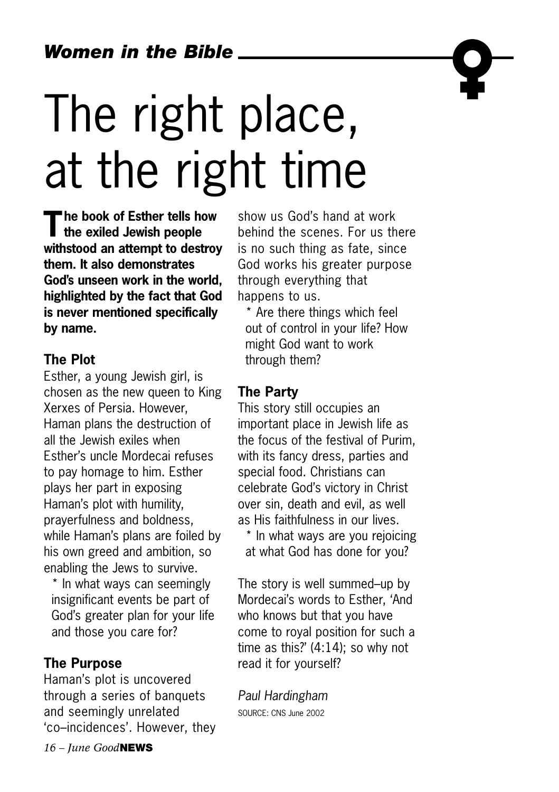## The right place, at the right time

**The book of Esther tells how the exiled Jewish people withstood an attempt to destroy them. It also demonstrates God's unseen work in the world, highlighted by the fact that God is never mentioned specifically by name.**

#### **The Plot**

Esther, a young Jewish girl, is chosen as the new queen to King Xerxes of Persia. However, Haman plans the destruction of all the Jewish exiles when Esther's uncle Mordecai refuses to pay homage to him. Esther plays her part in exposing Haman's plot with humility, prayerfulness and boldness, while Haman's plans are foiled by his own greed and ambition, so enabling the Jews to survive.

\* In what ways can seemingly insignificant events be part of God's greater plan for your life and those you care for?

#### **The Purpose**

Haman's plot is uncovered through a series of banquets and seemingly unrelated 'co–incidences'. However, they

show us God's hand at work behind the scenes. For us there is no such thing as fate, since God works his greater purpose through everything that happens to us.

\* Are there things which feel out of control in your life? How might God want to work through them?

#### **The Party**

This story still occupies an important place in Jewish life as the focus of the festival of Purim, with its fancy dress, parties and special food. Christians can celebrate God's victory in Christ over sin, death and evil, as well as His faithfulness in our lives.

\* In what ways are you rejoicing at what God has done for you?

The story is well summed–up by Mordecai's words to Esther, 'And who knows but that you have come to royal position for such a time as this?' (4:14); so why not read it for yourself?

*Paul Hardingham* SOURCE: CNS June 2002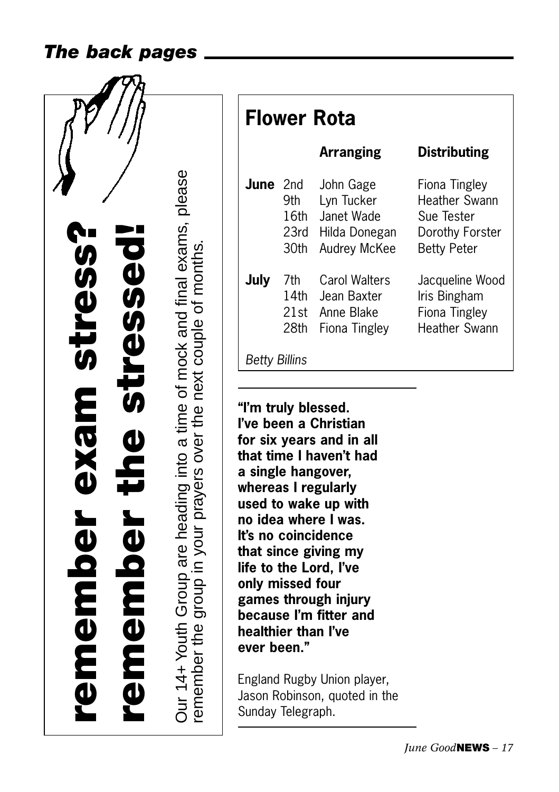#### *The back pages*



**Flower Rota Arranging Distributing June** 2nd John Gage Fiona Tingley 9th Lyn Tucker Heather Swann 16th Janet Wade Sue Tester 23rd Hilda Donegan Dorothy Forster 30th Audrey McKee Betty Peter **July** 7th Carol Walters Jacqueline Wood 14th Jean Baxter Iris Bingham 21st Anne Blake Fiona Tingley 28th Fiona Tingley Heather Swann *Betty Billins*

**"I'm truly blessed. I've been a Christian for six years and in all that time I haven't had a single hangover, whereas I regularly used to wake up with no idea where I was. It's no coincidence that since giving my life to the Lord, I've only missed four games through injury because I'm fitter and healthier than I've ever been."**

remember the group in your pr

a yers o

ver the next couple of months.

England Rugby Union player, Jason Robinson, quoted in the Sunday Telegraph.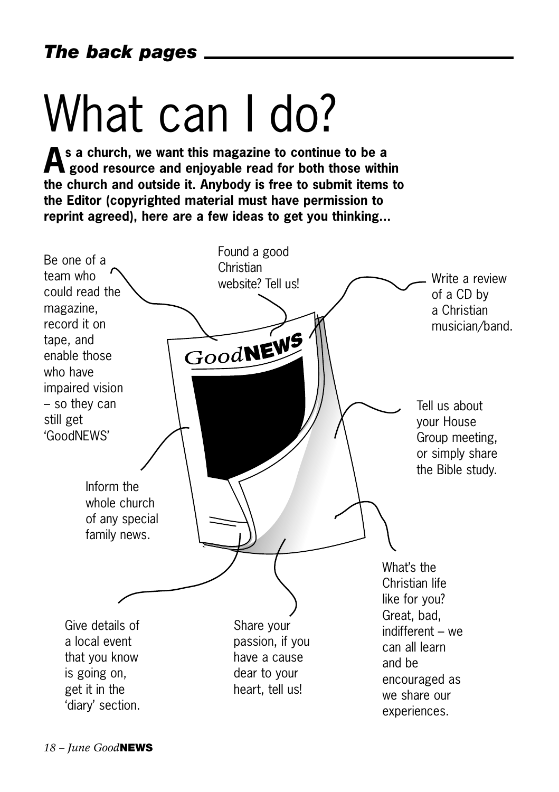## What can I do?

**As a church, we want this magazine to continue to be a good resource and enjoyable read for both those within the church and outside it. Anybody is free to submit items to the Editor (copyrighted material must have permission to reprint agreed), here are a few ideas to get you thinking...**

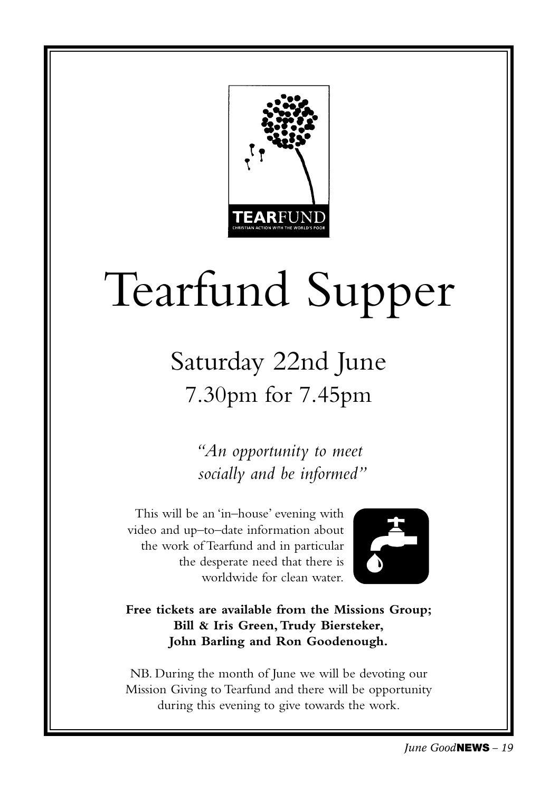

## Tearfund Supper

### Saturday 22nd June 7.30pm for 7.45pm

*"An opportunity to meet socially and be informed"*

This will be an 'in–house' evening with video and up–to–date information about the work of Tearfund and in particular the desperate need that there is worldwide for clean water.



**Free tickets are available from the Missions Group; Bill & Iris Green,Trudy Biersteker, John Barling and Ron Goodenough.**

NB. During the month of June we will be devoting our Mission Giving to Tearfund and there will be opportunity during this evening to give towards the work.